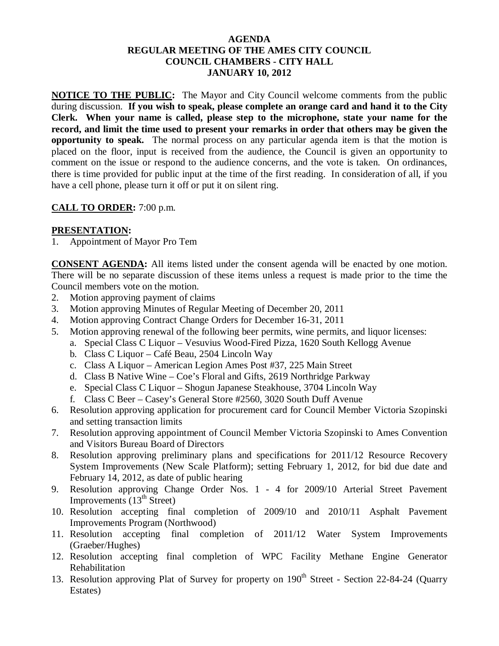#### **AGENDA REGULAR MEETING OF THE AMES CITY COUNCIL COUNCIL CHAMBERS - CITY HALL JANUARY 10, 2012**

**NOTICE TO THE PUBLIC:** The Mayor and City Council welcome comments from the public during discussion. **If you wish to speak, please complete an orange card and hand it to the City Clerk. When your name is called, please step to the microphone, state your name for the record, and limit the time used to present your remarks in order that others may be given the opportunity to speak.** The normal process on any particular agenda item is that the motion is placed on the floor, input is received from the audience, the Council is given an opportunity to comment on the issue or respond to the audience concerns, and the vote is taken. On ordinances, there is time provided for public input at the time of the first reading. In consideration of all, if you have a cell phone, please turn it off or put it on silent ring.

### **CALL TO ORDER:** 7:00 p.m.

### **PRESENTATION:**

1. Appointment of Mayor Pro Tem

**CONSENT AGENDA:** All items listed under the consent agenda will be enacted by one motion. There will be no separate discussion of these items unless a request is made prior to the time the Council members vote on the motion.

- 2. Motion approving payment of claims
- 3. Motion approving Minutes of Regular Meeting of December 20, 2011
- 4. Motion approving Contract Change Orders for December 16-31, 2011
- 5. Motion approving renewal of the following beer permits, wine permits, and liquor licenses:
	- a. Special Class C Liquor Vesuvius Wood-Fired Pizza, 1620 South Kellogg Avenue
	- b. Class C Liquor Café Beau, 2504 Lincoln Way
	- c. Class A Liquor American Legion Ames Post #37, 225 Main Street
	- d. Class B Native Wine Coe's Floral and Gifts, 2619 Northridge Parkway
	- e. Special Class C Liquor Shogun Japanese Steakhouse, 3704 Lincoln Way
	- f. Class C Beer Casey's General Store #2560, 3020 South Duff Avenue
- 6. Resolution approving application for procurement card for Council Member Victoria Szopinski and setting transaction limits
- 7. Resolution approving appointment of Council Member Victoria Szopinski to Ames Convention and Visitors Bureau Board of Directors
- 8. Resolution approving preliminary plans and specifications for 2011/12 Resource Recovery System Improvements (New Scale Platform); setting February 1, 2012, for bid due date and February 14, 2012, as date of public hearing
- 9. Resolution approving Change Order Nos. 1 4 for 2009/10 Arterial Street Pavement Improvements  $(13<sup>th</sup> Street)$
- 10. Resolution accepting final completion of 2009/10 and 2010/11 Asphalt Pavement Improvements Program (Northwood)
- 11. Resolution accepting final completion of 2011/12 Water System Improvements (Graeber/Hughes)
- 12. Resolution accepting final completion of WPC Facility Methane Engine Generator Rehabilitation
- 13. Resolution approving Plat of Survey for property on 190<sup>th</sup> Street Section 22-84-24 (Quarry Estates)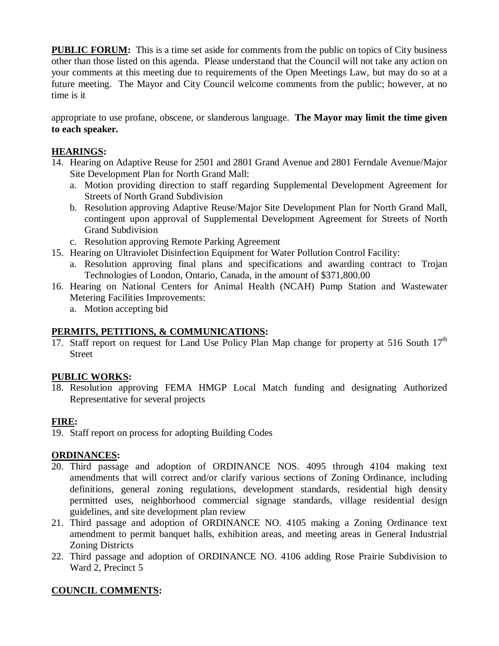**PUBLIC FORUM:** This is a time set aside for comments from the public on topics of City business other than those listed on this agenda. Please understand that the Council will not take any action on your comments at this meeting due to requirements of the Open Meetings Law, but may do so at a future meeting. The Mayor and City Council welcome comments from the public; however, at no time is it

appropriate to use profane, obscene, or slanderous language. **The Mayor may limit the time given to each speaker.** 

## **HEARINGS:**

- 14. Hearing on Adaptive Reuse for 2501 and 2801 Grand Avenue and 2801 Ferndale Avenue/Major Site Development Plan for North Grand Mall:
	- a. Motion providing direction to staff regarding Supplemental Development Agreement for Streets of North Grand Subdivision
	- b. Resolution approving Adaptive Reuse/Major Site Development Plan for North Grand Mall, contingent upon approval of Supplemental Development Agreement for Streets of North Grand Subdivision
	- c. Resolution approving Remote Parking Agreement
- 15. Hearing on Ultraviolet Disinfection Equipment for Water Pollution Control Facility:
	- a. Resolution approving final plans and specifications and awarding contract to Trojan Technologies of London, Ontario, Canada, in the amount of \$371,800.00
- 16. Hearing on National Centers for Animal Health (NCAH) Pump Station and Wastewater Metering Facilities Improvements:
	- a. Motion accepting bid

## **PERMITS, PETITIONS, & COMMUNICATIONS:**

17. Staff report on request for Land Use Policy Plan Map change for property at 516 South  $17<sup>th</sup>$ Street

# **PUBLIC WORKS:**

18. Resolution approving FEMA HMGP Local Match funding and designating Authorized Representative for several projects

# **FIRE:**

19. Staff report on process for adopting Building Codes

## **ORDINANCES:**

- 20. Third passage and adoption of ORDINANCE NOS. 4095 through 4104 making text amendments that will correct and/or clarify various sections of Zoning Ordinance, including definitions, general zoning regulations, development standards, residential high density permitted uses, neighborhood commercial signage standards, village residential design guidelines, and site development plan review
- 21. Third passage and adoption of ORDINANCE NO. 4105 making a Zoning Ordinance text amendment to permit banquet halls, exhibition areas, and meeting areas in General Industrial Zoning Districts
- 22. Third passage and adoption of ORDINANCE NO. 4106 adding Rose Prairie Subdivision to Ward 2, Precinct 5

# **COUNCIL COMMENTS:**